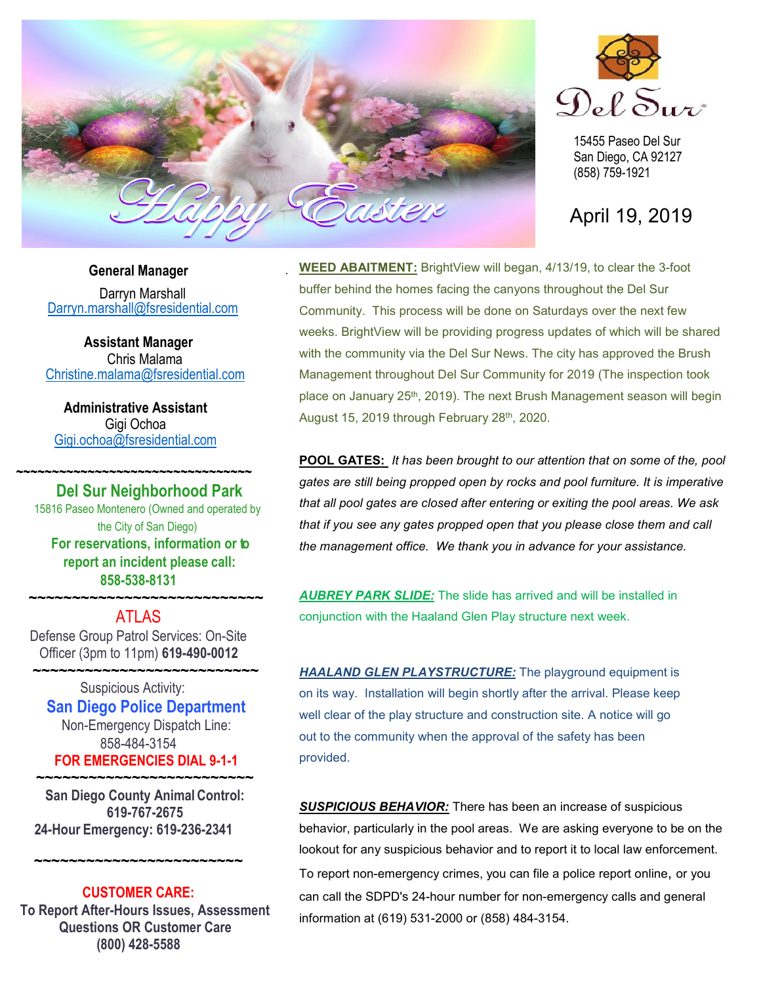

.



15455 Paseo Del Sur San Diego, CA 92127 (858) 759-1921

April 19, 2019

# **General Manager**

Darryn Marshall [Darryn.marshall@fsresidential.com](mailto:Darryn.marshall@fsresidential.com)

**Assistant Manager** Chris Malama [Christine.malama@fsresidential.com](mailto:Christine.malama@fsresidential.com)

**Administrative Assistant**  Gigi Ochoa [Gigi.ochoa@fsresidential.com](mailto:Gigi.ochoa@fsresidential.com)

**~~~~~~~~~~~~~~~~~~~~~~~~~~~~~~~~~**

# **Del Sur Neighborhood Park**

15816 Paseo Montenero (Owned and operated by the City of San Diego) **For reservations, information or to report an incident please call: 858-538-8131**

# **~~~~~~~~~~~~~~~~~~~~~~~~~~~** ATLAS

Defense Group Patrol Services: On-Site Officer (3pm to 11pm) **619-490-0012**

 **~~~~~~~~~~~~~~~~~~~~~~~~~~** Suspicious Activity: **San Diego Police Department** Non-Emergency Dispatch Line: 858-484-3154 **FOR EMERGENCIES DIAL 9-1-1**

**~~~~~~~~~~~~~~~~~~~~~~~~~ San Diego County Animal Control: 619-767-2675 24-Hour Emergency: 619-236-2341**

**~~~~~~~~~~~~~~~~~~~~~~~~**

**CUSTOMER CARE: To Report After-Hours Issues, Assessment Questions OR Customer Care (800) 428-5588**

**WEED ABAITMENT:** BrightView will began, 4/13/19, to clear the 3-foot buffer behind the homes facing the canyons throughout the Del Sur Community. This process will be done on Saturdays over the next few weeks. BrightView will be providing progress updates of which will be shared with the community via the Del Sur News. The city has approved the Brush Management throughout Del Sur Community for 2019 (The inspection took place on January 25<sup>th</sup>, 2019). The next Brush Management season will begin August 15, 2019 through February 28<sup>th</sup>, 2020.

**POOL GATES:** *It has been brought to our attention that on some of the, pool gates are still being propped open by rocks and pool furniture. It is imperative that all pool gates are closed after entering or exiting the pool areas. We ask that if you see any gates propped open that you please close them and call the management office. We thank you in advance for your assistance.*

*AUBREY PARK SLIDE:* The slide has arrived and will be installed in conjunction with the Haaland Glen Play structure next week.

*HAALAND GLEN PLAYSTRUCTURE:* The playground equipment is on its way. Installation will begin shortly after the arrival. Please keep well clear of the play structure and construction site. A notice will go out to the community when the approval of the safety has been provided.

*SUSPICIOUS BEHAVIOR:* There has been an increase of suspicious behavior, particularly in the pool areas. We are asking everyone to be on the lookout for any suspicious behavior and to report it to local law enforcement. To report non-emergency crimes, you can file a police report online, or you can call the SDPD's 24-hour number for non-emergency calls and general information at (619) 531-2000 or (858) 484-3154.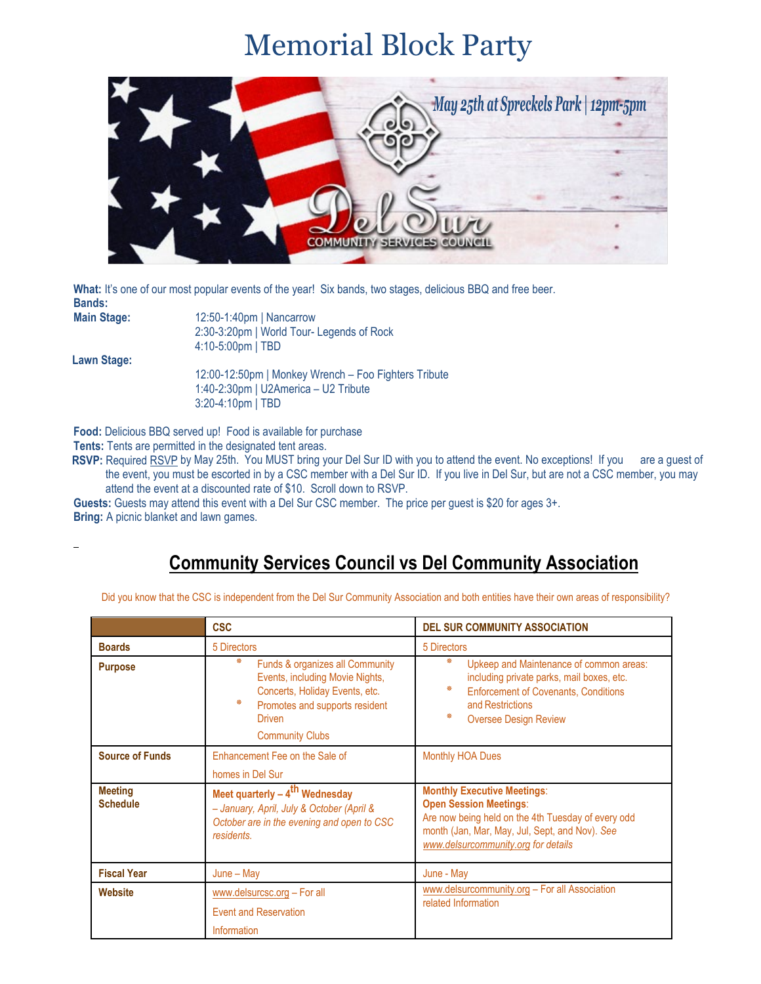# Memorial Block Party



What: It's one of our most popular events of the year! Six bands, two stages, delicious BBQ and free beer. **Bands:** 

| <b>Main Stage:</b> |  |
|--------------------|--|
|                    |  |

**Main Stage:** 12:50-1:40pm | Nancarrow 2:30-3:20pm | World Tour- Legends of Rock 4:10-5:00pm | TBD

**Lawn Stage:**

12:00-12:50pm | Monkey Wrench – Foo Fighters Tribute 1:40-2:30pm | U2America – U2 Tribute 3:20-4:10pm | TBD

**Food:** Delicious BBQ served up! Food is available for purchase

**Tents:** Tents are permitted in the designated tent areas.

**RSVP:** Required [RSVP](https://nam05.safelinks.protection.outlook.com/?url=https%3A%2F%2Fdelsurcsc.us4.list-manage.com%2Ftrack%2Fclick%3Fu%3D0c4692d5c3039adf4e8c34142%26id%3De23cb93918%26e%3Ddb8eec23c7&data=02%7C01%7Cgigi.ochoa%40fsresidential.com%7Cda50ab7b3aac4438544908d6c3643939%7C82dc41969dae4650955505bccddbfd01%7C0%7C0%7C636911232555282470&sdata=s1mdFtna3%2FVGGPQKpXO%2BAjQCRoN79gN6d76UXkM2%2BRY%3D&reserved=0) by May 25th. You MUST bring your Del Sur ID with you to attend the event. No exceptions! If you are a guest of the event, you must be escorted in by a CSC member with a Del Sur ID. If you live in Del Sur, but are not a CSC member, you may attend the event at a discounted rate of \$10. Scroll down to RSVP.

**Guests:** Guests may attend this event with a Del Sur CSC member. The price per guest is \$20 for ages 3+. **Bring:** A picnic blanket and lawn games.

# **Community Services Council vs Del Community Association**

Did you know that the CSC is independent from the Del Sur Community Association and both entities have their own areas of responsibility?

|                                   | <b>CSC</b>                                                                                                                                                                           | <b>DEL SUR COMMUNITY ASSOCIATION</b>                                                                                                                                                                               |
|-----------------------------------|--------------------------------------------------------------------------------------------------------------------------------------------------------------------------------------|--------------------------------------------------------------------------------------------------------------------------------------------------------------------------------------------------------------------|
| <b>Boards</b>                     | 5 Directors                                                                                                                                                                          | 5 Directors                                                                                                                                                                                                        |
| <b>Purpose</b>                    | ∗<br>Funds & organizes all Community<br>Events, including Movie Nights,<br>Concerts, Holiday Events, etc.<br>柴<br>Promotes and supports resident<br>Driven<br><b>Community Clubs</b> | ∗<br>Upkeep and Maintenance of common areas:<br>including private parks, mail boxes, etc.<br>∗<br><b>Enforcement of Covenants, Conditions</b><br>and Restrictions<br>∗<br><b>Oversee Design Review</b>             |
| <b>Source of Funds</b>            | Enhancement Fee on the Sale of<br>homes in Del Sur                                                                                                                                   | <b>Monthly HOA Dues</b>                                                                                                                                                                                            |
| <b>Meeting</b><br><b>Schedule</b> | Meet quarterly $-4$ <sup>th</sup> Wednesday<br>- January, April, July & October (April &<br>October are in the evening and open to CSC<br>residents.                                 | <b>Monthly Executive Meetings:</b><br><b>Open Session Meetings:</b><br>Are now being held on the 4th Tuesday of every odd<br>month (Jan, Mar, May, Jul, Sept, and Nov). See<br>www.delsurcommunity.org for details |
| <b>Fiscal Year</b>                | $June - May$                                                                                                                                                                         | June - May                                                                                                                                                                                                         |
| Website                           | www.delsurcsc.org - For all<br><b>Event and Reservation</b><br>Information                                                                                                           | www.delsurcommunity.org - For all Association<br>related Information                                                                                                                                               |